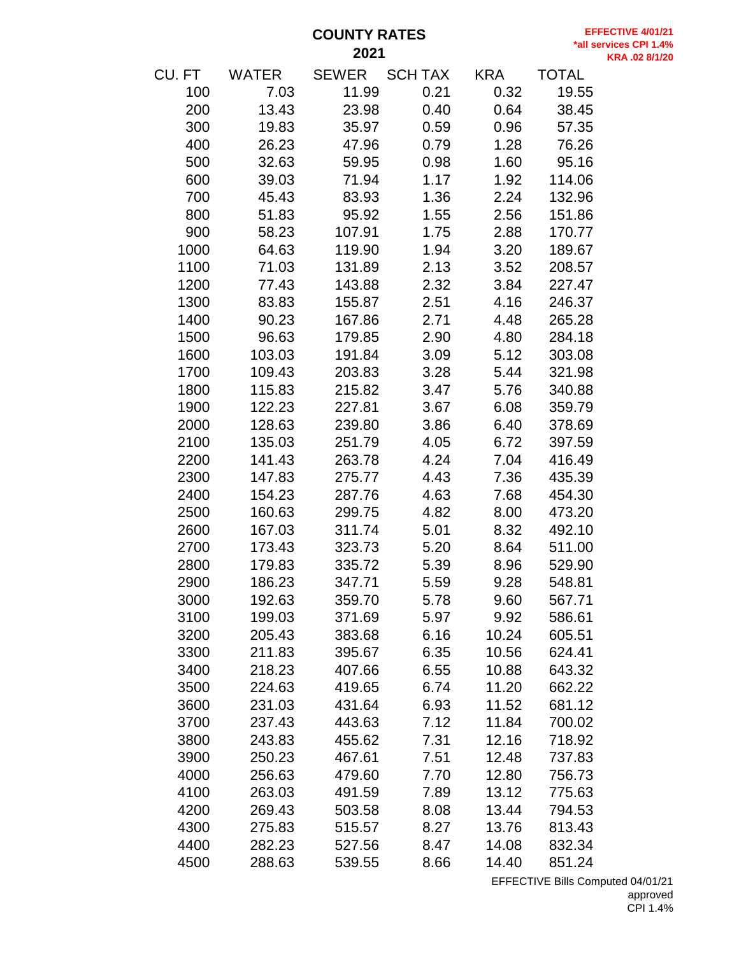**COUNTY RATES** 

**EFFECTIVE 4/01/21 \*all services CPI 1.4% KRA .02 8/1/20**

| CU. FT | <b>WATER</b> | <b>SEWER</b> | <b>SCH TAX</b> | <b>KRA</b> | <b>TOTAL</b> |  |
|--------|--------------|--------------|----------------|------------|--------------|--|
| 100    | 7.03         | 11.99        | 0.21           | 0.32       | 19.55        |  |
| 200    | 13.43        | 23.98        | 0.40           | 0.64       | 38.45        |  |
| 300    | 19.83        | 35.97        | 0.59           | 0.96       | 57.35        |  |
| 400    | 26.23        | 47.96        | 0.79           | 1.28       | 76.26        |  |
| 500    | 32.63        | 59.95        | 0.98           | 1.60       | 95.16        |  |
| 600    | 39.03        | 71.94        | 1.17           | 1.92       | 114.06       |  |
| 700    | 45.43        | 83.93        | 1.36           | 2.24       | 132.96       |  |
| 800    | 51.83        | 95.92        | 1.55           | 2.56       | 151.86       |  |
| 900    | 58.23        | 107.91       | 1.75           | 2.88       | 170.77       |  |
| 1000   | 64.63        | 119.90       | 1.94           | 3.20       | 189.67       |  |
| 1100   | 71.03        | 131.89       | 2.13           | 3.52       | 208.57       |  |
| 1200   | 77.43        | 143.88       | 2.32           | 3.84       | 227.47       |  |
| 1300   | 83.83        | 155.87       | 2.51           | 4.16       | 246.37       |  |
| 1400   | 90.23        | 167.86       | 2.71           | 4.48       | 265.28       |  |
| 1500   | 96.63        | 179.85       | 2.90           | 4.80       | 284.18       |  |
| 1600   | 103.03       | 191.84       | 3.09           | 5.12       | 303.08       |  |
| 1700   | 109.43       | 203.83       | 3.28           | 5.44       | 321.98       |  |
| 1800   | 115.83       | 215.82       | 3.47           | 5.76       | 340.88       |  |
| 1900   | 122.23       | 227.81       | 3.67           | 6.08       | 359.79       |  |
| 2000   | 128.63       | 239.80       | 3.86           | 6.40       | 378.69       |  |
| 2100   | 135.03       | 251.79       | 4.05           | 6.72       | 397.59       |  |
| 2200   | 141.43       | 263.78       | 4.24           | 7.04       | 416.49       |  |
| 2300   | 147.83       | 275.77       | 4.43           | 7.36       | 435.39       |  |
| 2400   | 154.23       | 287.76       | 4.63           | 7.68       | 454.30       |  |
| 2500   | 160.63       | 299.75       | 4.82           | 8.00       | 473.20       |  |
| 2600   | 167.03       | 311.74       | 5.01           | 8.32       | 492.10       |  |
| 2700   | 173.43       | 323.73       | 5.20           | 8.64       | 511.00       |  |
| 2800   | 179.83       | 335.72       | 5.39           | 8.96       | 529.90       |  |
| 2900   | 186.23       | 347.71       | 5.59           | 9.28       | 548.81       |  |
| 3000   | 192.63       | 359.70       | 5.78           | 9.60       | 567.71       |  |
| 3100   | 199.03       | 371.69       | 5.97           | 9.92       | 586.61       |  |
| 3200   | 205.43       | 383.68       | 6.16           | 10.24      | 605.51       |  |
| 3300   | 211.83       | 395.67       | 6.35           | 10.56      | 624.41       |  |
| 3400   | 218.23       | 407.66       | 6.55           | 10.88      | 643.32       |  |
| 3500   | 224.63       | 419.65       | 6.74           | 11.20      | 662.22       |  |
| 3600   | 231.03       | 431.64       | 6.93           | 11.52      | 681.12       |  |
| 3700   | 237.43       | 443.63       | 7.12           | 11.84      | 700.02       |  |
| 3800   | 243.83       | 455.62       | 7.31           | 12.16      | 718.92       |  |
| 3900   | 250.23       | 467.61       | 7.51           | 12.48      | 737.83       |  |
| 4000   | 256.63       | 479.60       | 7.70           | 12.80      | 756.73       |  |
| 4100   | 263.03       | 491.59       | 7.89           | 13.12      | 775.63       |  |
| 4200   | 269.43       | 503.58       | 8.08           | 13.44      | 794.53       |  |
| 4300   | 275.83       | 515.57       | 8.27           | 13.76      | 813.43       |  |
| 4400   | 282.23       | 527.56       | 8.47           | 14.08      | 832.34       |  |
| 4500   | 288.63       | 539.55       | 8.66           | 14.40      | 851.24       |  |
|        |              |              |                |            |              |  |

EFFECTIVE Bills Computed 04/01/21